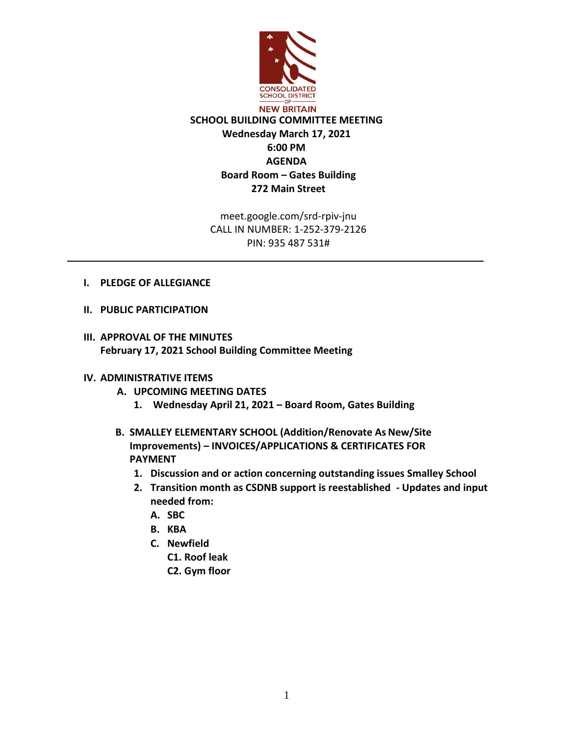

meet.google.com/srd-rpiv-jnu CALL IN NUMBER: 1-252-379-2126 PIN: 935 487 531#

- **I. PLEDGE OF ALLEGIANCE**
- **II. PUBLIC PARTICIPATION**
- **III. APPROVAL OF THE MINUTES February 17, 2021 School Building Committee Meeting**

## **IV. ADMINISTRATIVE ITEMS**

- **A. UPCOMING MEETING DATES**
	- **1. Wednesday April 21, 2021 – Board Room, Gates Building**
- **B. SMALLEY ELEMENTARY SCHOOL (Addition/Renovate As New/Site Improvements) – INVOICES/APPLICATIONS & CERTIFICATES FOR PAYMENT**
	- **1. Discussion and or action concerning outstanding issues Smalley School**
	- **2. Transition month as CSDNB support is reestablished - Updates and input needed from:**
		- **A. SBC**
		- **B. KBA**
		- **C. Newfield**
			- **C1. Roof leak**
			- **C2. Gym floor**